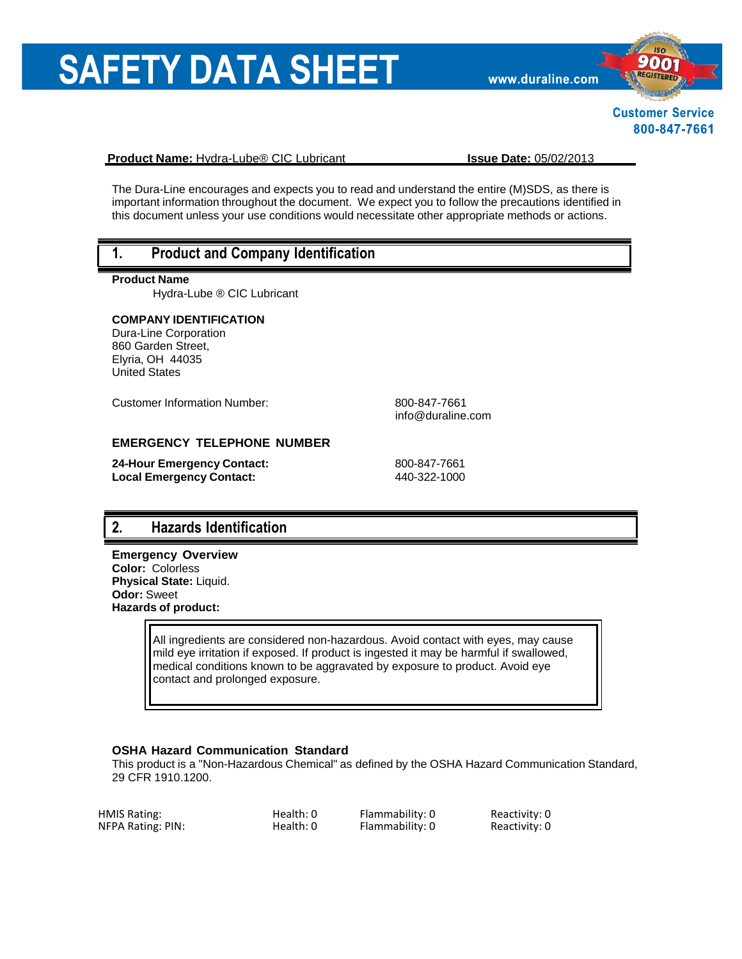# **SAFETY DATA SHEET**

www.duraline.com



**Customer Service** 800-847-7661

**Product Name:** Hydra-Lube® CIC Lubricant **Issue Date:** 05/02/2013

The Dura-Line encourages and expects you to read and understand the entire (M)SDS, as there is important information throughout the document. We expect you to follow the precautions identified in this document unless your use conditions would necessitate other appropriate methods or actions.

# **1. Product and Company Identification**

#### **Product Name**

Hydra-Lube ® CIC Lubricant

#### **COMPANY IDENTIFICATION**

Dura-Line Corporation 860 Garden Street, Elyria, OH 44035 United States

Customer Information Number: 800-847-7661

[info@duraline.com](mailto:SDSQuestion@dow.com)

#### **EMERGENCY TELEPHONE NUMBER**

**24-Hour Emergency Contact:** 800-847-7661 **Local Emergency Contact:** 440-322-1000

# **2. Hazards Identification**

**Emergency Overview Color:** Colorless **Physical State:** Liquid. **Odor:** Sweet **Hazards of product:**

> All ingredients are considered non-hazardous. Avoid contact with eyes, may cause mild eye irritation if exposed. If product is ingested it may be harmful if swallowed, medical conditions known to be aggravated by exposure to product. Avoid eye contact and prolonged exposure.

#### **OSHA Hazard Communication Standard**

This product is a "Non-Hazardous Chemical" as defined by the OSHA Hazard Communication Standard, 29 CFR 1910.1200.

| HMIS Rating:      | Health: 0 | Flammability: 0 | Reactivity: 0 |
|-------------------|-----------|-----------------|---------------|
| NFPA Rating: PIN: | Health: 0 | Flammability: 0 | Reactivity: 0 |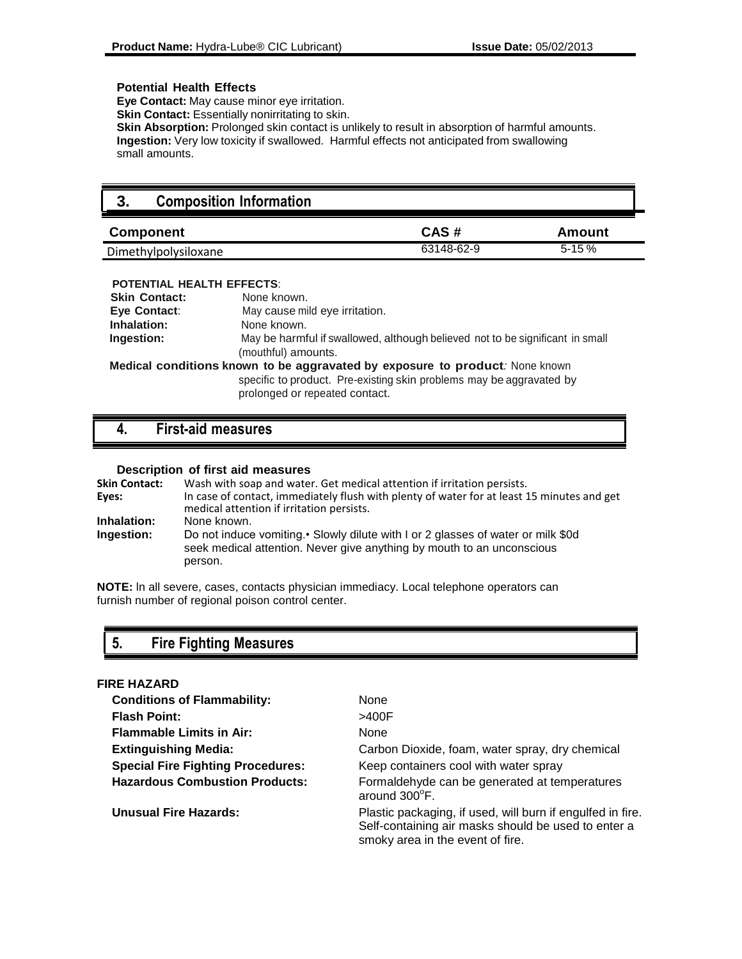#### **Potential Health Effects**

**Eye Contact:** May cause minor eye irritation.

**Skin Contact:** Essentially nonirritating to skin.

**Skin Absorption:** Prolonged skin contact is unlikely to result in absorption of harmful amounts. **Ingestion:** Very low toxicity if swallowed. Harmful effects not anticipated from swallowing small amounts.

# **3. Composition Information**

| <b>Component</b>     | CAS#       | Amount    |
|----------------------|------------|-----------|
| Dimethylpolysiloxane | 63148-62-9 | $5 - 15%$ |

#### **POTENTIAL HEALTH EFFECTS**:

| <b>Skin Contact:</b> | None known.                                                                                                                                                                            |  |
|----------------------|----------------------------------------------------------------------------------------------------------------------------------------------------------------------------------------|--|
| Eye Contact:         | May cause mild eye irritation.                                                                                                                                                         |  |
| Inhalation:          | None known.                                                                                                                                                                            |  |
| Ingestion:           | May be harmful if swallowed, although believed not to be significant in small<br>(mouthful) amounts.                                                                                   |  |
|                      | Medical conditions known to be aggravated by exposure to product: None known<br>specific to product. Pre-existing skin problems may be aggravated by<br>prolonged or repeated contact. |  |

### **4. First-aid measures**

#### **Description of first aid measures**

| <b>Skin Contact:</b> | Wash with soap and water. Get medical attention if irritation persists.                                                                                              |
|----------------------|----------------------------------------------------------------------------------------------------------------------------------------------------------------------|
| Eyes:                | In case of contact, immediately flush with plenty of water for at least 15 minutes and get<br>medical attention if irritation persists.                              |
| Inhalation:          | None known.                                                                                                                                                          |
| <b>Ingestion:</b>    | Do not induce vomiting. Slowly dilute with I or 2 glasses of water or milk \$0d<br>seek medical attention. Never give anything by mouth to an unconscious<br>person. |

**NOTE:** ln all severe, cases, contacts physician immediacy. Local telephone operators can furnish number of regional poison control center.

# **5. Fire Fighting Measures**

#### **FIRE HAZARD**

| <b>Conditions of Flammability:</b>       | None                                                                                                                                                  |
|------------------------------------------|-------------------------------------------------------------------------------------------------------------------------------------------------------|
| <b>Flash Point:</b>                      | >400F                                                                                                                                                 |
| <b>Flammable Limits in Air:</b>          | <b>None</b>                                                                                                                                           |
| <b>Extinguishing Media:</b>              | Carbon Dioxide, foam, water spray, dry chemical                                                                                                       |
| <b>Special Fire Fighting Procedures:</b> | Keep containers cool with water spray                                                                                                                 |
| <b>Hazardous Combustion Products:</b>    | Formaldehyde can be generated at temperatures<br>around 300°F.                                                                                        |
| <b>Unusual Fire Hazards:</b>             | Plastic packaging, if used, will burn if engulfed in fire.<br>Self-containing air masks should be used to enter a<br>smoky area in the event of fire. |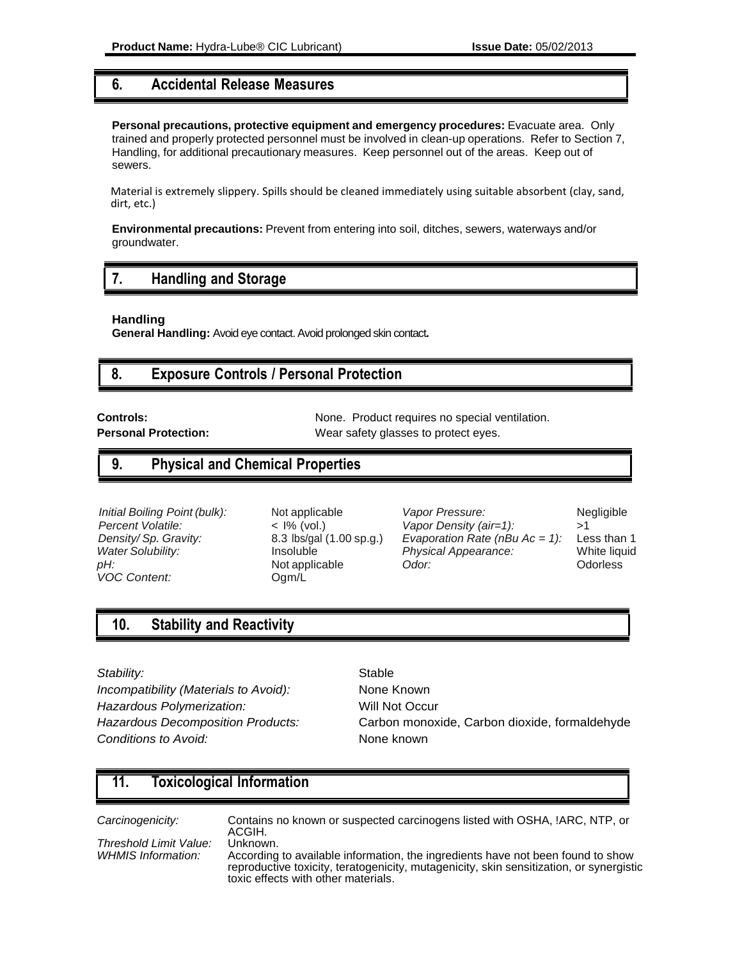### **6. Accidental Release Measures**

**Personal precautions, protective equipment and emergency procedures:** Evacuate area. Only trained and properly protected personnel must be involved in clean-up operations. Refer to Section 7, Handling, for additional precautionary measures. Keep personnel out of the areas. Keep out of sewers.

Material is extremely slippery. Spills should be cleaned immediately using suitable absorbent (clay, sand, dirt, etc.)

**Environmental precautions:** Prevent from entering into soil, ditches, sewers, waterways and/or groundwater.

### **7. Handling and Storage**

**Handling**

**General Handling:** Avoid eye contact. Avoid prolonged skin contact**.**

### **8. Exposure Controls / Personal Protection**

**Controls:** None. Product requires no special ventilation. **Personal Protection:** Wear safety glasses to protect eyes.

# **9. Physical and Chemical Properties**

*pH:* **Content: Not applicable** *Odor:**Odor***:** *Odorless Odorless VOC Content: VOC Content:* 

*Initial Boiling Point (bulk):* Not applicable *Vapor Pressure:* Negligible *Percent Volatile:*  $\leq$  1% (vol.) *Vapor Density (air=1):*  $>1$ *Percent Volatile:*  $\langle$  1% (vol.) *Vapor Density (air=1):*  $\langle$  51  $\rangle$  51  $\langle$  *Density/Sp. Gravity:* 8.3 lbs/gal (1.00 sp.g.) *Evaporation Rate (nBu Ac = 1):* Less than 1 *Evaporation Rate (nBu Ac = 1): Water Solubility:* Insoluble *Physical Appearance:* White liquid

# **10. Stability and Reactivity**

#### **Stability:** Stable

*Incompatibility (Materials to Avoid):* None Known **Hazardous Polymerization:** Will Not Occur **Conditions to Avoid:** None known

*Hazardous Decomposition Products:* Carbon monoxide, Carbon dioxide, formaldehyde

# **11. Toxicological Information**

*Carcinogenicity:* Contains no known or suspected carcinogens listed with OSHA, !ARC, NTP, or ACGIH.

*Threshold Limit Value:* Unknown.

*WHMIS Information:* According to available information, the ingredients have not been found to show reproductive toxicity, teratogenicity, mutagenicity, skin sensitization, or synergistic toxic effects with other materials.